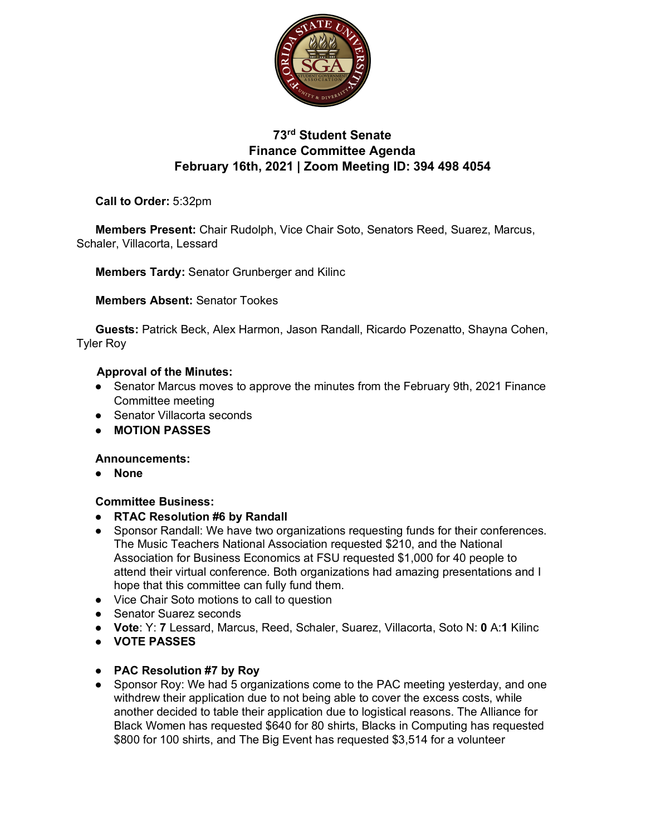

# **73rd Student Senate Finance Committee Agenda February 16th, 2021 | Zoom Meeting ID: 394 498 4054**

**Call to Order:** 5:32pm

**Members Present:** Chair Rudolph, Vice Chair Soto, Senators Reed, Suarez, Marcus, Schaler, Villacorta, Lessard

**Members Tardy:** Senator Grunberger and Kilinc

**Members Absent:** Senator Tookes

**Guests:** Patrick Beck, Alex Harmon, Jason Randall, Ricardo Pozenatto, Shayna Cohen, Tyler Roy

### **Approval of the Minutes:**

- Senator Marcus moves to approve the minutes from the February 9th, 2021 Finance Committee meeting
- Senator Villacorta seconds
- **MOTION PASSES**

### **Announcements:**

● **None**

### **Committee Business:**

- **RTAC Resolution #6 by Randall**
- Sponsor Randall: We have two organizations requesting funds for their conferences. The Music Teachers National Association requested \$210, and the National Association for Business Economics at FSU requested \$1,000 for 40 people to attend their virtual conference. Both organizations had amazing presentations and I hope that this committee can fully fund them.
- Vice Chair Soto motions to call to question
- Senator Suarez seconds
- **Vote**: Y: **7** Lessard, Marcus, Reed, Schaler, Suarez, Villacorta, Soto N: **0** A:**1** Kilinc
- **VOTE PASSES**

### ● **PAC Resolution #7 by Roy**

• Sponsor Roy: We had 5 organizations come to the PAC meeting yesterday, and one withdrew their application due to not being able to cover the excess costs, while another decided to table their application due to logistical reasons. The Alliance for Black Women has requested \$640 for 80 shirts, Blacks in Computing has requested \$800 for 100 shirts, and The Big Event has requested \$3,514 for a volunteer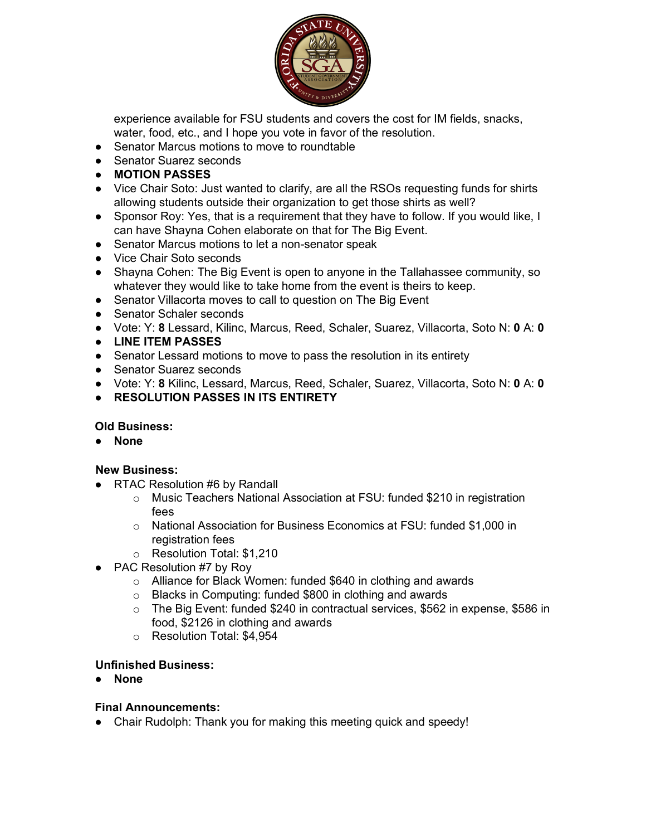

experience available for FSU students and covers the cost for IM fields, snacks, water, food, etc., and I hope you vote in favor of the resolution.

- Senator Marcus motions to move to roundtable
- Senator Suarez seconds
- **MOTION PASSES**
- Vice Chair Soto: Just wanted to clarify, are all the RSOs requesting funds for shirts allowing students outside their organization to get those shirts as well?
- Sponsor Roy: Yes, that is a requirement that they have to follow. If you would like, I can have Shayna Cohen elaborate on that for The Big Event.
- Senator Marcus motions to let a non-senator speak
- Vice Chair Soto seconds
- Shayna Cohen: The Big Event is open to anyone in the Tallahassee community, so whatever they would like to take home from the event is theirs to keep.
- Senator Villacorta moves to call to question on The Big Event
- Senator Schaler seconds
- Vote: Y: **8** Lessard, Kilinc, Marcus, Reed, Schaler, Suarez, Villacorta, Soto N: **0** A: **0**
- **LINE ITEM PASSES**
- Senator Lessard motions to move to pass the resolution in its entirety
- Senator Suarez seconds
- Vote: Y: **8** Kilinc, Lessard, Marcus, Reed, Schaler, Suarez, Villacorta, Soto N: **0** A: **0**
- **RESOLUTION PASSES IN ITS ENTIRETY**

### **Old Business:**

● **None**

### **New Business:**

- RTAC Resolution #6 by Randall
	- o Music Teachers National Association at FSU: funded \$210 in registration fees
	- o National Association for Business Economics at FSU: funded \$1,000 in registration fees
	- o Resolution Total: \$1,210
- PAC Resolution #7 by Roy
	- o Alliance for Black Women: funded \$640 in clothing and awards
	- o Blacks in Computing: funded \$800 in clothing and awards
	- $\circ$  The Big Event: funded \$240 in contractual services, \$562 in expense, \$586 in food, \$2126 in clothing and awards
	- o Resolution Total: \$4,954

### **Unfinished Business:**

● **None**

### **Final Announcements:**

• Chair Rudolph: Thank you for making this meeting quick and speedy!